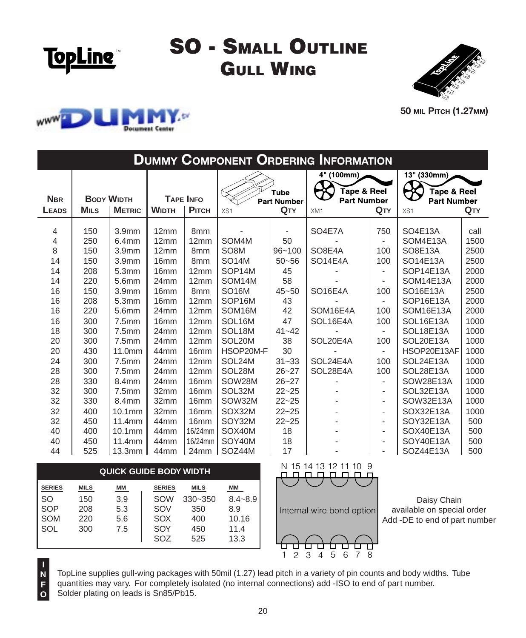

## **SO - SMALL OUTLINE GULL WING**





**50 мі**ц Рітсн (1.27мм)

| <b>DUMMY COMPONENT ORDERING INFORMATION</b>                                         |                                                                                                       |                                                                                                                                                                                                  |                                                                                                                                                                                  |                                                                                                                                                                  |                                                                                                                                                                                            |                                                                                                                                  |                                                                                                                |                                                                                                       |                                                                                                                                                                                                          |                                                                                                                      |  |
|-------------------------------------------------------------------------------------|-------------------------------------------------------------------------------------------------------|--------------------------------------------------------------------------------------------------------------------------------------------------------------------------------------------------|----------------------------------------------------------------------------------------------------------------------------------------------------------------------------------|------------------------------------------------------------------------------------------------------------------------------------------------------------------|--------------------------------------------------------------------------------------------------------------------------------------------------------------------------------------------|----------------------------------------------------------------------------------------------------------------------------------|----------------------------------------------------------------------------------------------------------------|-------------------------------------------------------------------------------------------------------|----------------------------------------------------------------------------------------------------------------------------------------------------------------------------------------------------------|----------------------------------------------------------------------------------------------------------------------|--|
| <b>NBR</b><br>LEADS                                                                 | <b>BODY WIDTH</b><br><b>METRIC</b><br><b>MILS</b>                                                     |                                                                                                                                                                                                  | <b>TAPE INFO</b><br><b>WIDTH</b><br>Рітсн                                                                                                                                        |                                                                                                                                                                  | <b>Tube</b><br><b>Part Number</b><br>QTY<br>XS1                                                                                                                                            |                                                                                                                                  | 4" (100mm)<br>Tape & Reel<br><b>Part Number</b><br>QTY<br>XM1                                                  |                                                                                                       | 13" (330mm)<br>Tape & Reel<br><b>Part Number</b><br>QTY<br>XS1                                                                                                                                           |                                                                                                                      |  |
| 4<br>4<br>8<br>14<br>14<br>14<br>16<br>16<br>16<br>16<br>18<br>20<br>20<br>24<br>28 | 150<br>250<br>150<br>150<br>208<br>220<br>150<br>208<br>220<br>300<br>300<br>300<br>430<br>300<br>300 | 3.9 <sub>mm</sub><br>6.4 <sub>mm</sub><br>3.9 <sub>mm</sub><br>3.9 <sub>mm</sub><br>5.3mm<br>5.6mm<br>3.9 <sub>mm</sub><br>5.3mm<br>5.6mm<br>7.5mm<br>7.5mm<br>7.5mm<br>11.0mm<br>7.5mm<br>7.5mm | 12mm<br>12mm<br>12mm<br>16 <sub>mm</sub><br>16 <sub>mm</sub><br>24mm<br>16 <sub>mm</sub><br>16mm<br>24mm<br>16 <sub>mm</sub><br>24mm<br>24mm<br>44mm<br>24 <sub>mm</sub><br>24mm | 8 <sub>mm</sub><br>12mm<br>8 <sub>mm</sub><br>8 <sub>mm</sub><br>12mm<br>12mm<br>8 <sub>mm</sub><br>12mm<br>12mm<br>12mm<br>12mm<br>12mm<br>16mm<br>12mm<br>12mm | SOM4M<br>SO <sub>8</sub> M<br><b>SO14M</b><br>SOP14M<br>SOM14M<br><b>SO16M</b><br>SOP16M<br>SOM16M<br>SOL <sub>16</sub> M<br>SOL <sub>18M</sub><br>SOL20M<br>HSOP20M-F<br>SOL24M<br>SOL28M | ٠<br>50<br>$96 - 100$<br>$50 - 56$<br>45<br>58<br>$45 - 50$<br>43<br>42<br>47<br>$41 - 42$<br>38<br>30<br>$31 - 33$<br>$26 - 27$ | SO4E7A<br>SO8E4A<br>SO <sub>14E4A</sub><br>SO16E4A<br>SOM16E4A<br>SOL16E4A<br>SOL20E4A<br>SOL24E4A<br>SOL28E4A | 750<br>$\overline{a}$<br>100<br>100<br>$\blacksquare$<br>100<br>100<br>100<br>100<br>÷.<br>100<br>100 | SO4E13A<br>SOM4E13A<br>SO8E13A<br>SO14E13A<br>SOP14E13A<br><b>SOM14E13A</b><br>SO16E13A<br>SOP16E13A<br><b>SOM16E13A</b><br>SOL16E13A<br>SOL18E13A<br>SOL20E13A<br>HSOP20E13AF<br>SOL24E13A<br>SOL28E13A | call<br>1500<br>2500<br>2500<br>2000<br>2000<br>2500<br>2000<br>2000<br>1000<br>1000<br>1000<br>1000<br>1000<br>1000 |  |
| 28<br>32<br>32<br>32<br>32<br>40<br>40<br>44                                        | 330<br>300<br>330<br>400<br>450<br>400<br>450<br>525                                                  | 8.4mm<br>7.5mm<br>8.4mm<br>$10.1$ mm<br>11.4mm<br>$10.1$ mm<br>11.4mm<br>13.3mm                                                                                                                  | 24 <sub>mm</sub><br>32mm<br>32mm<br>32mm<br>44mm<br>44 <sub>mm</sub><br>44mm<br>44 <sub>mm</sub>                                                                                 | 16 <sub>mm</sub><br>16mm<br>16 <sub>mm</sub><br>16mm<br>16mm<br>16/24mm<br>16/24mm<br>24mm                                                                       | SOW28M<br>SOL32M<br>SOW32M<br>SOX32M<br>SOY32M<br>SOX40M<br>SOY40M<br>SOZ44M                                                                                                               | $26 - 27$<br>$22 - 25$<br>$22 - 25$<br>$22 - 25$<br>$22 - 25$<br>18<br>18<br>17                                                  |                                                                                                                | ٠<br>٠<br>$\overline{\phantom{0}}$<br>$\overline{\phantom{0}}$<br>٠<br>٠<br>$\overline{\phantom{0}}$  | SOW28E13A<br>SOL32E13A<br>SOW32E13A<br>SOX32E13A<br>SOY32E13A<br>SOX40E13A<br>SOY40E13A<br>SOZ44E13A                                                                                                     | 1000<br>1000<br>1000<br>1000<br>500<br>500<br>500<br>500                                                             |  |

| <b>QUICK GUIDE BODY WIDTH</b> |             |           |               |             |             |  |  |  |  |  |  |
|-------------------------------|-------------|-----------|---------------|-------------|-------------|--|--|--|--|--|--|
| <b>SERIES</b>                 | <b>MILS</b> | <u>ММ</u> | <b>SERIES</b> | <b>MILS</b> | MМ          |  |  |  |  |  |  |
| <b>SO</b>                     | 150         | 3.9       | SOW           | $330 - 350$ | $8.4 - 8.9$ |  |  |  |  |  |  |
| SOP                           | 208         | 5.3       | SOV           | 350         | 8.9         |  |  |  |  |  |  |
| <b>SOM</b>                    | 220         | 5.6       | SOX           | 400         | 10.16       |  |  |  |  |  |  |
| SOL                           | 300         | 7.5       | SOY           | 450         | 11.4        |  |  |  |  |  |  |
|                               |             |           | SOZ           | 525         | 13.3        |  |  |  |  |  |  |

**N F O**



 $\overline{7}$  8

ப

 $1 \overline{2}$   $\overline{3}$   $\overline{4}$   $\overline{5}$   $\overline{6}$ 



TopLine supplies gull-wing packages with 50mil (1.27) lead pitch in a variety of pin counts and body widths. Tube quantities may vary. For completely isolated (no internal connections) add -ISO to end of part number. Solder plating on leads is Sn85/Pb15.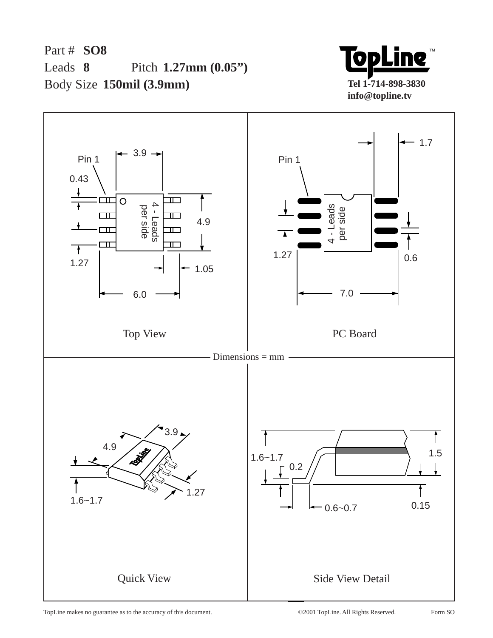Part # **SO8** Leads 8 Body Size **150mil (3.9mm)** Pitch 1.27mm (0.05")



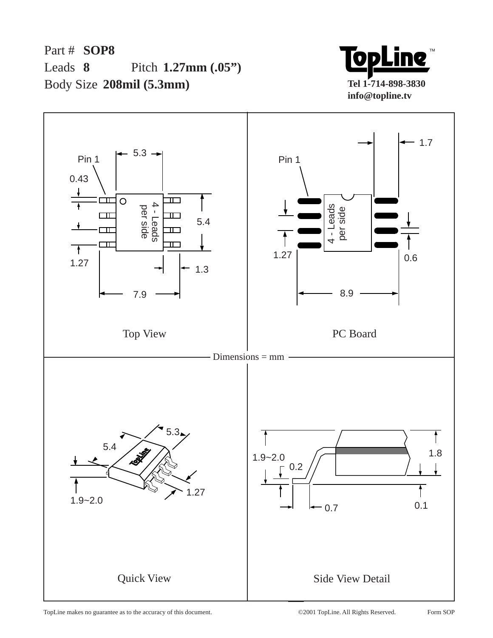Part # **SOP8** Leads 8 Body Size **208mil (5.3mm) 8 1.27mm (.05")**



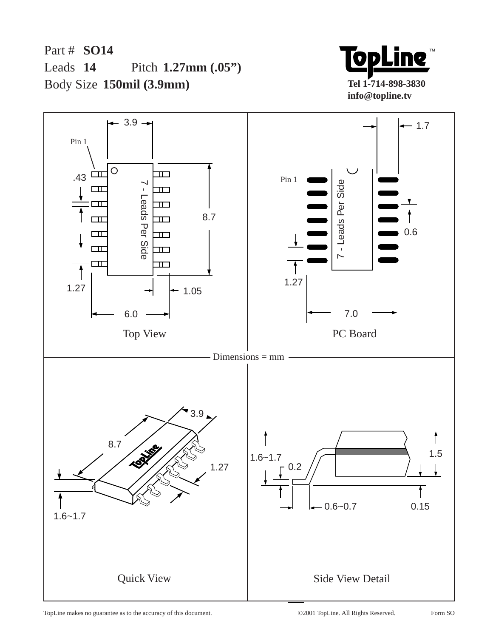Part # **SO14** Leads 14 Body Size **150mil (3.9mm)** Pitch 1.27mm (.05")



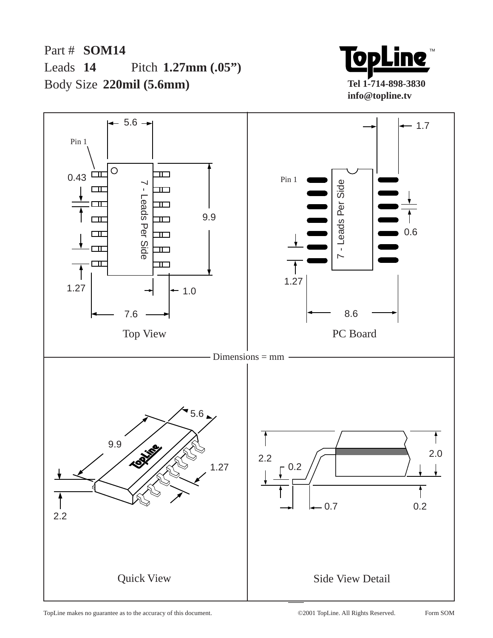Part # **SOM14** Leads 14 Body Size **220mil (5.6mm)** Pitch 1.27mm (.05")



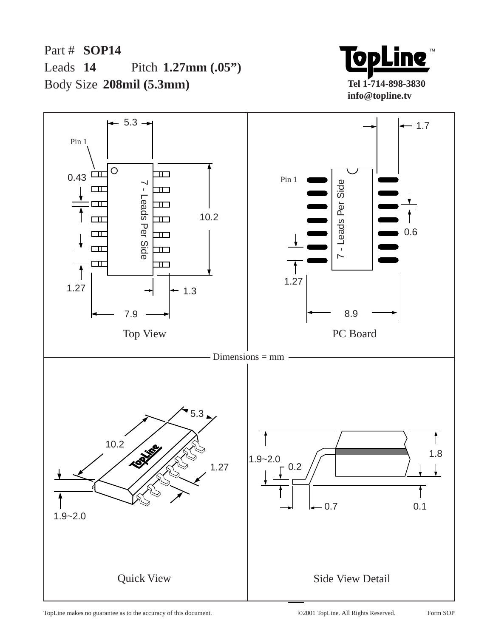Part # **SOP14** Leads 14 Body Size **208mil (5.3mm)** Pitch 1.27mm (.05")



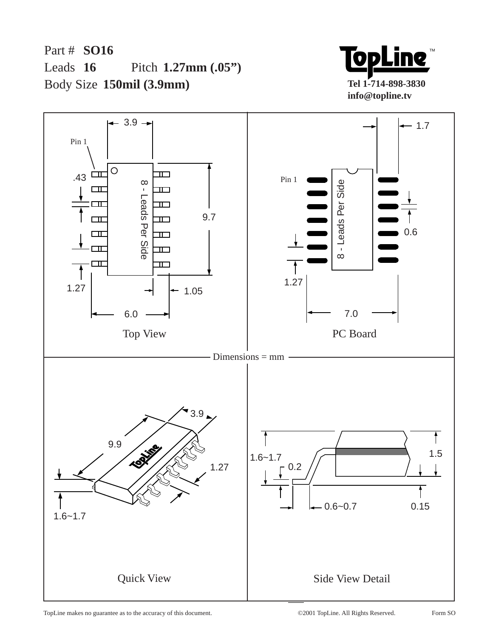Part # **SO16** Leads 16 Body Size **150mil (3.9mm)** Pitch 1.27mm (.05")



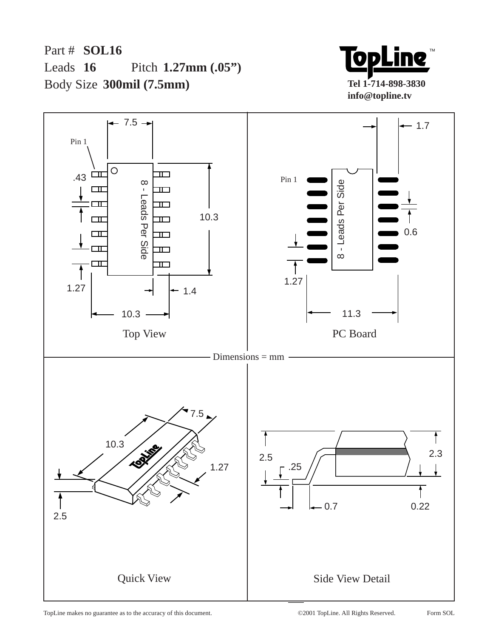Part # **SOL16** Leads  $16$ Body Size **300mil (7.5mm)** Pitch 1.27mm (.05")



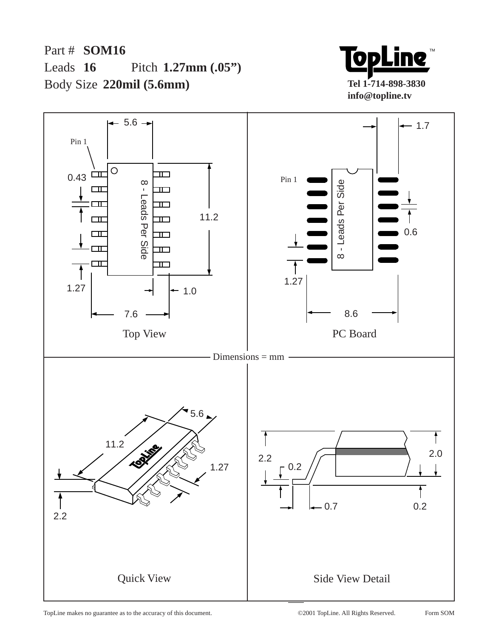Part # **SOM16** Leads 16 Body Size **220mil (5.6mm)** Pitch 1.27mm (.05")



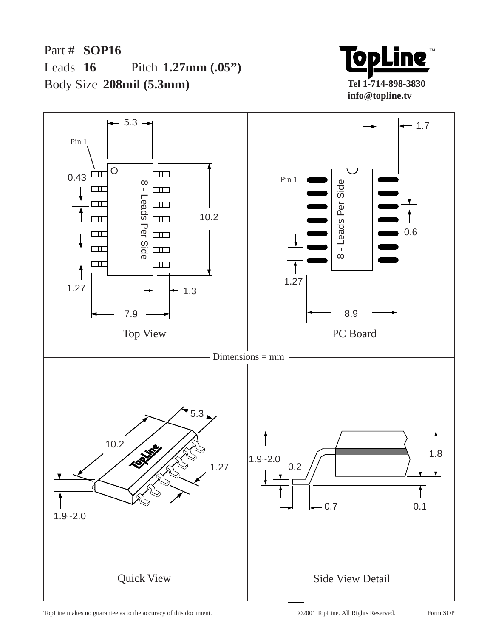Part # **SOP16** Leads  $16$ Body Size **208mil (5.3mm)** Pitch 1.27mm (.05")



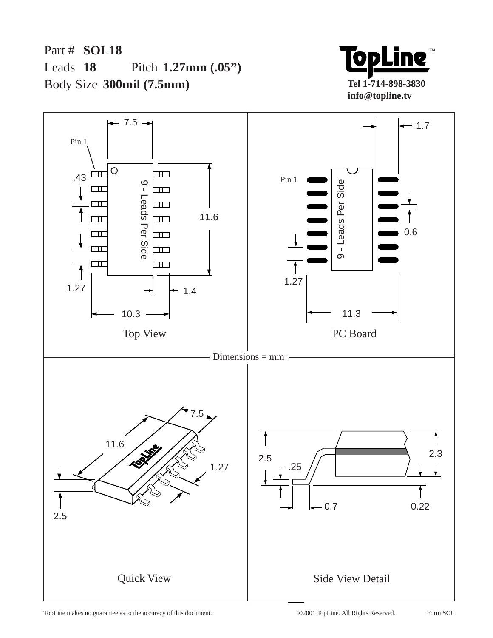Part # **SOL18** Leads 18 Body Size **300mil (7.5mm)** Pitch 1.27mm (.05")



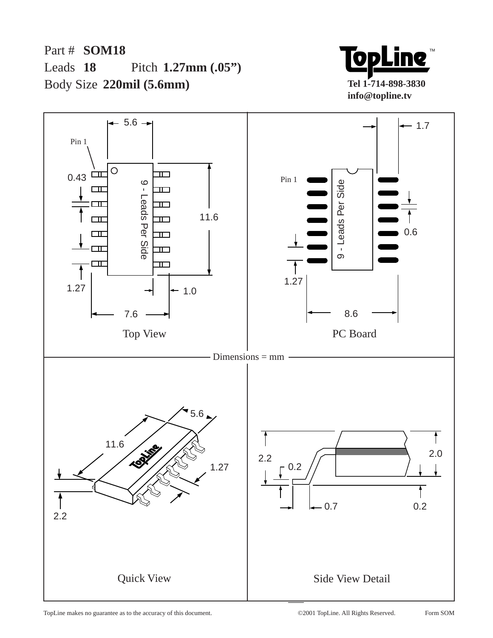Part # **SOM18** Leads 18 Body Size **220mil (5.6mm)** Pitch 1.27mm (.05")



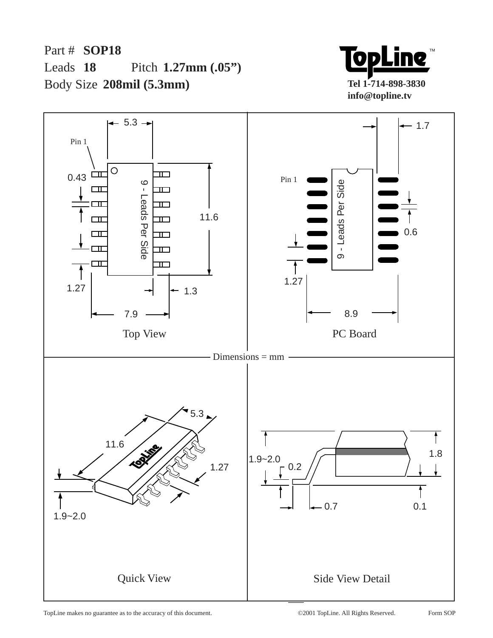Part # **SOP18** Leads 18 Body Size **208mil (5.3mm)** Pitch 1.27mm (.05")



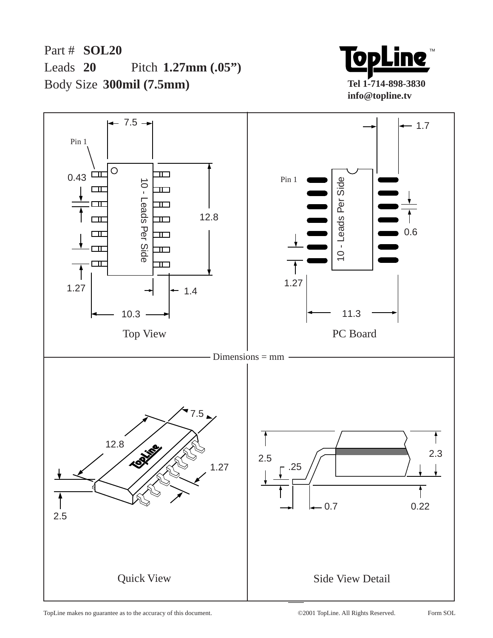Part # **SOL20** Leads 20 Body Size **300mil (7.5mm)** Pitch 1.27mm (.05")



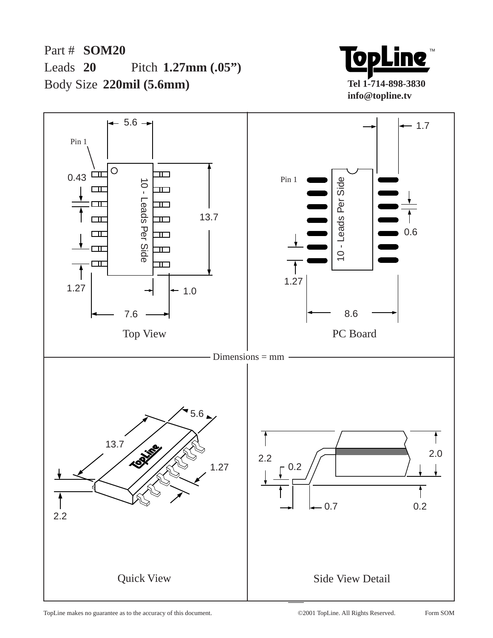Part # **SOM20** Leads  $20$ Body Size **220mil (5.6mm)** Pitch 1.27mm (.05")



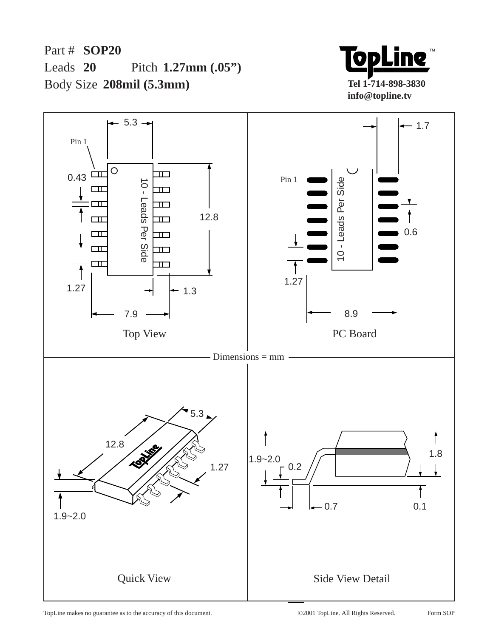Part # **SOP20** Leads  $20$ Body Size **208mil (5.3mm)** Pitch 1.27mm (.05")



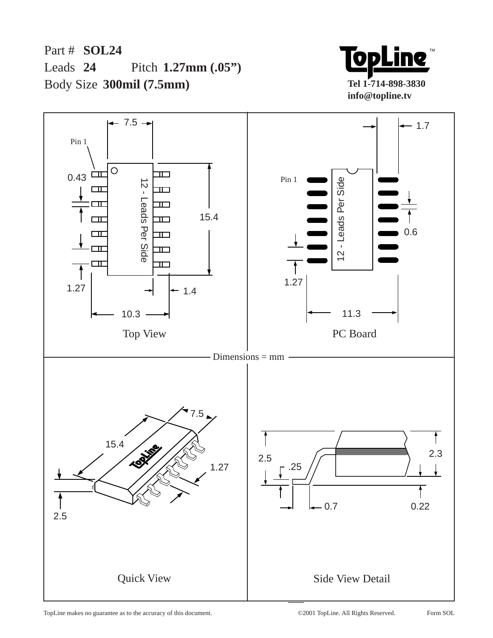Part # **SOL24** Leads 24 Body Size **300mil (7.5mm)** Pitch 1.27mm (.05")



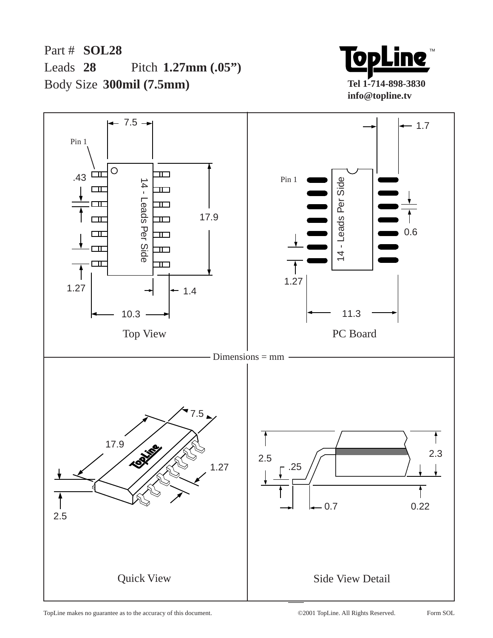Part # **SOL28** Leads 28 Body Size **300mil (7.5mm)** Pitch 1.27mm (.05")



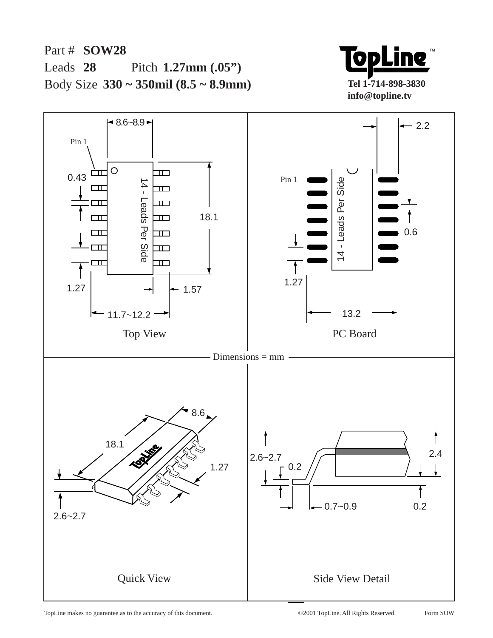

Part # **SOW28** Leads 28 Body Size **330 ~ 350mil (8.5 ~ 8.9mm)** Pitch 1.27mm (.05")

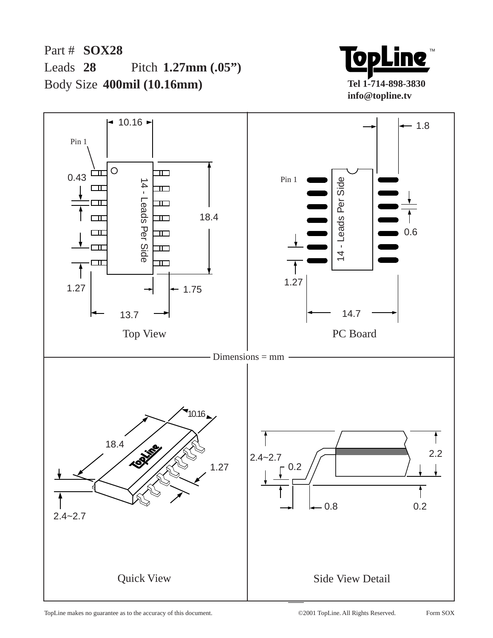Part # **SOX28** Leads 28 Body Size **400mil (10.16mm)** Pitch 1.27mm (.05")



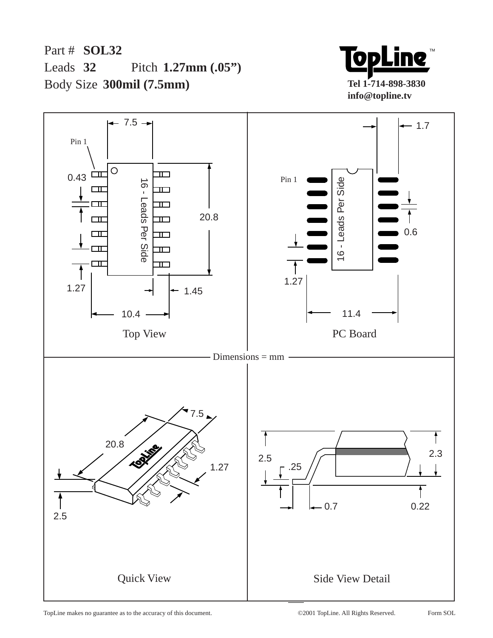Part # **SOL32** Leads 32 Body Size **300mil (7.5mm)** Pitch 1.27mm (.05")



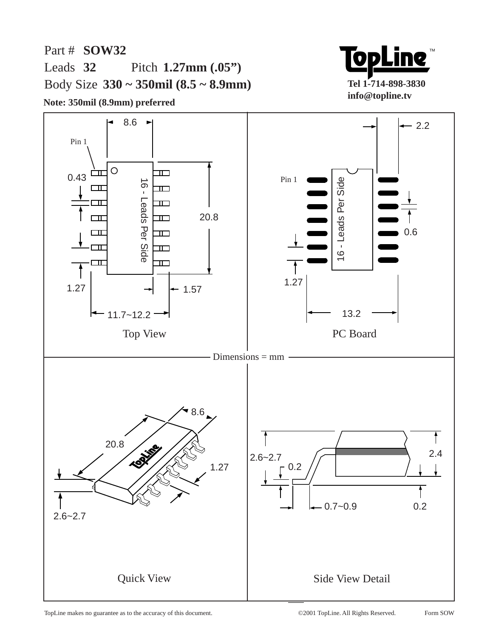TM  $\mathbf{O}$ **Tel 1-714-898-3830 info@topline.tv**

Part # **SOW32** Leads 32 Body Size **330 ~ 350mil (8.5 ~ 8.9mm)** Pitch 1.27mm (.05")

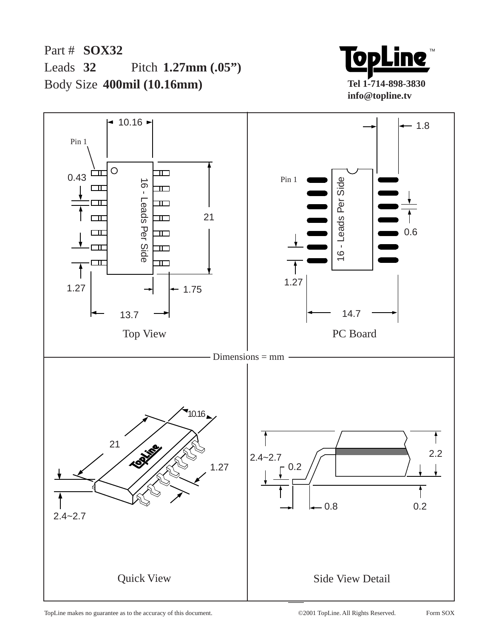Part # **SOX32** Leads 32 Body Size **400mil (10.16mm)** Pitch 1.27mm (.05")



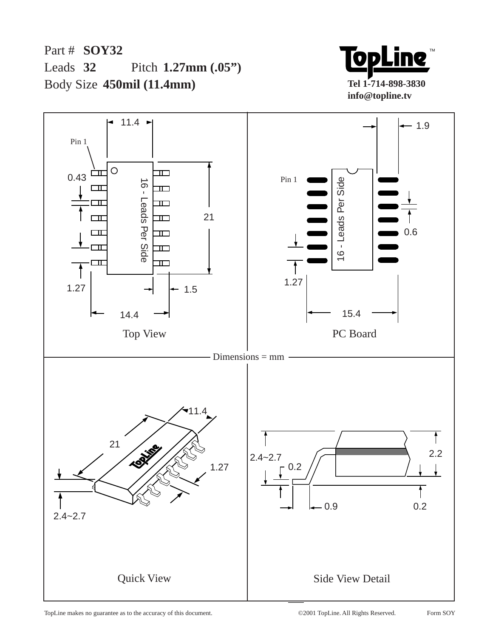Part # **SOY32** Leads 32 Body Size **450mil (11.4mm)** Pitch 1.27mm (.05")



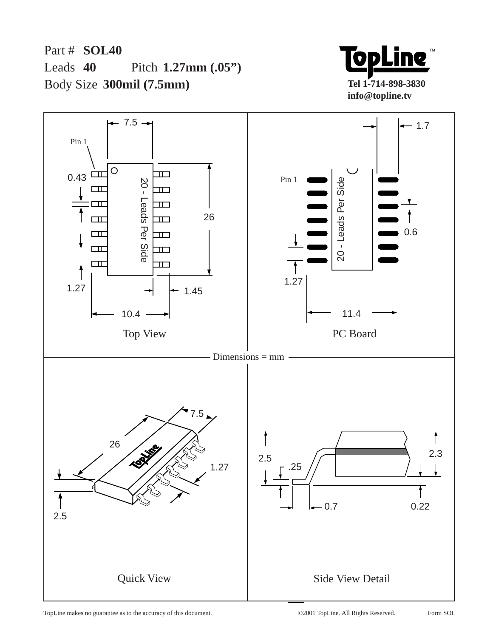Part # **SOL40** Leads  $40$ Body Size **300mil (7.5mm)** Pitch 1.27mm (.05")



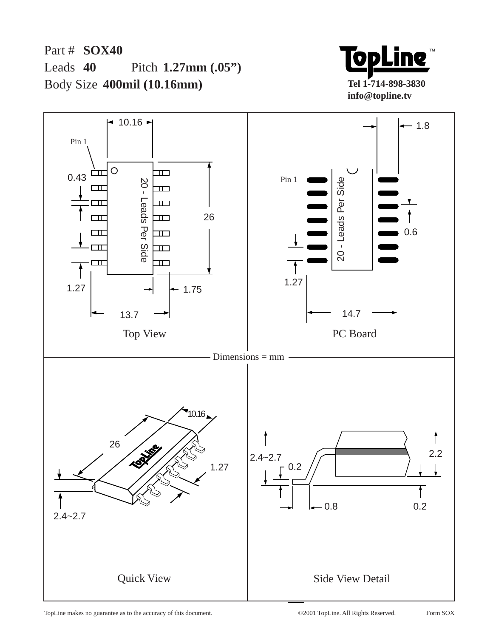Part # **SOX40** Leads  $40$ Body Size **400mil (10.16mm)** Pitch 1.27mm (.05")



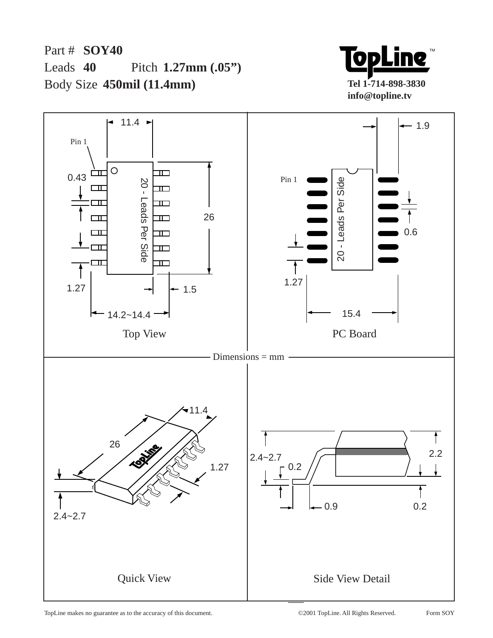Part # **SOY40** Leads  $40$ Body Size **450mil (11.4mm)** Pitch 1.27mm (.05")





TopLine makes no guarantee as to the accuracy of this document. ©2001 TopLine. All Rights Reserved.

Form SOY